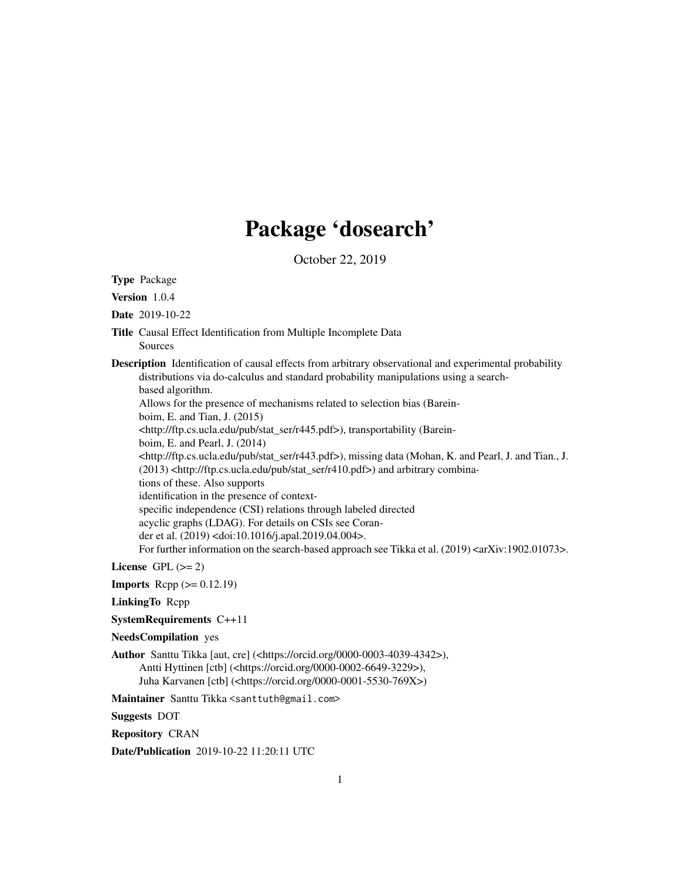# Package 'dosearch'

October 22, 2019

<span id="page-0-0"></span>Type Package Version 1.0.4 Date 2019-10-22 Title Causal Effect Identification from Multiple Incomplete Data Sources Description Identification of causal effects from arbitrary observational and experimental probability distributions via do-calculus and standard probability manipulations using a searchbased algorithm. Allows for the presence of mechanisms related to selection bias (Bareinboim, E. and Tian, J. (2015) <http://ftp.cs.ucla.edu/pub/stat\_ser/r445.pdf>), transportability (Bareinboim, E. and Pearl, J. (2014) <http://ftp.cs.ucla.edu/pub/stat\_ser/r443.pdf>), missing data (Mohan, K. and Pearl, J. and Tian., J. (2013) <http://ftp.cs.ucla.edu/pub/stat\_ser/r410.pdf>) and arbitrary combinations of these. Also supports identification in the presence of contextspecific independence (CSI) relations through labeled directed acyclic graphs (LDAG). For details on CSIs see Corander et al. (2019) <doi:10.1016/j.apal.2019.04.004>. For further information on the search-based approach see Tikka et al. (2019) <arXiv:1902.01073>.

License GPL  $(>= 2)$ 

**Imports** Rcpp  $(>= 0.12.19)$ 

LinkingTo Rcpp

SystemRequirements C++11

# NeedsCompilation yes

Author Santtu Tikka [aut, cre] (<https://orcid.org/0000-0003-4039-4342>), Antti Hyttinen [ctb] (<https://orcid.org/0000-0002-6649-3229>), Juha Karvanen [ctb] (<https://orcid.org/0000-0001-5530-769X>)

Maintainer Santtu Tikka <santtuth@gmail.com>

Suggests DOT

Repository CRAN

Date/Publication 2019-10-22 11:20:11 UTC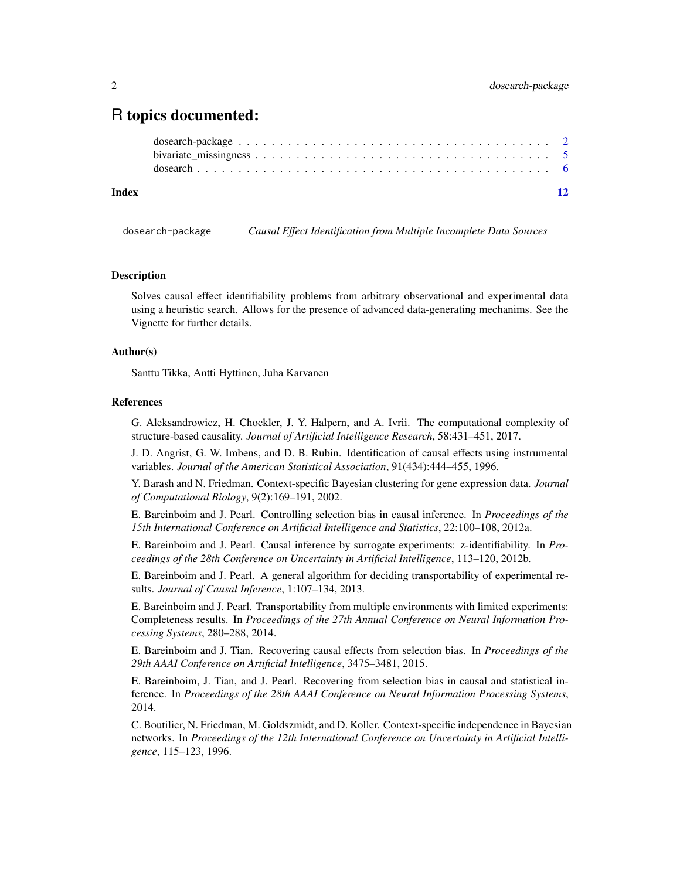# <span id="page-1-0"></span>R topics documented:

## **Index** [12](#page-11-0)

dosearch-package *Causal Effect Identification from Multiple Incomplete Data Sources*

#### **Description**

Solves causal effect identifiability problems from arbitrary observational and experimental data using a heuristic search. Allows for the presence of advanced data-generating mechanims. See the Vignette for further details.

#### Author(s)

Santtu Tikka, Antti Hyttinen, Juha Karvanen

# References

G. Aleksandrowicz, H. Chockler, J. Y. Halpern, and A. Ivrii. The computational complexity of structure-based causality. *Journal of Artificial Intelligence Research*, 58:431–451, 2017.

J. D. Angrist, G. W. Imbens, and D. B. Rubin. Identification of causal effects using instrumental variables. *Journal of the American Statistical Association*, 91(434):444–455, 1996.

Y. Barash and N. Friedman. Context-specific Bayesian clustering for gene expression data. *Journal of Computational Biology*, 9(2):169–191, 2002.

E. Bareinboim and J. Pearl. Controlling selection bias in causal inference. In *Proceedings of the 15th International Conference on Artificial Intelligence and Statistics*, 22:100–108, 2012a.

E. Bareinboim and J. Pearl. Causal inference by surrogate experiments: z-identifiability. In *Proceedings of the 28th Conference on Uncertainty in Artificial Intelligence*, 113–120, 2012b.

E. Bareinboim and J. Pearl. A general algorithm for deciding transportability of experimental results. *Journal of Causal Inference*, 1:107–134, 2013.

E. Bareinboim and J. Pearl. Transportability from multiple environments with limited experiments: Completeness results. In *Proceedings of the 27th Annual Conference on Neural Information Processing Systems*, 280–288, 2014.

E. Bareinboim and J. Tian. Recovering causal effects from selection bias. In *Proceedings of the 29th AAAI Conference on Artificial Intelligence*, 3475–3481, 2015.

E. Bareinboim, J. Tian, and J. Pearl. Recovering from selection bias in causal and statistical inference. In *Proceedings of the 28th AAAI Conference on Neural Information Processing Systems*, 2014.

C. Boutilier, N. Friedman, M. Goldszmidt, and D. Koller. Context-specific independence in Bayesian networks. In *Proceedings of the 12th International Conference on Uncertainty in Artificial Intelligence*, 115–123, 1996.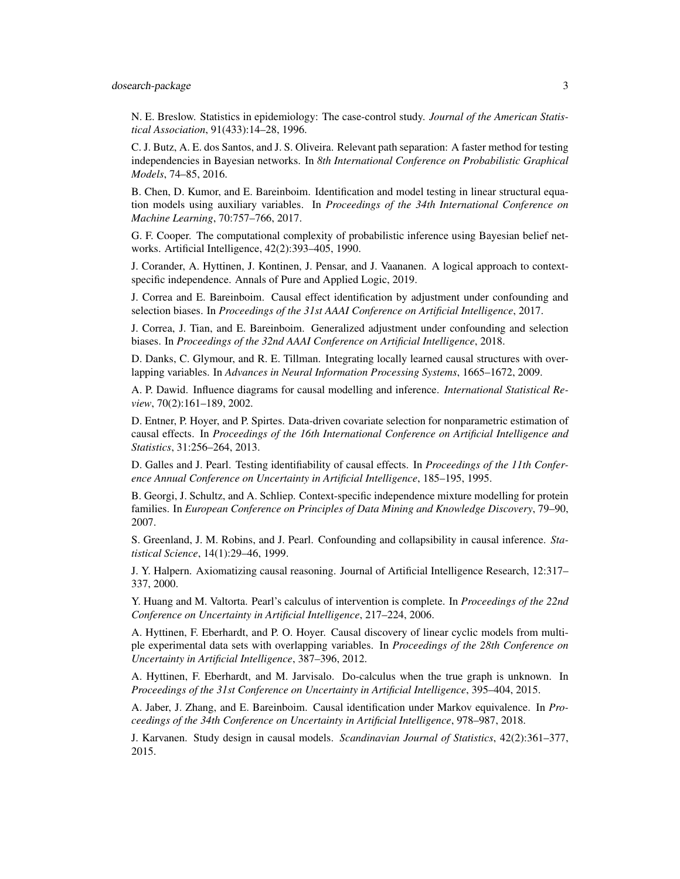# dosearch-package 3

N. E. Breslow. Statistics in epidemiology: The case-control study. *Journal of the American Statistical Association*, 91(433):14–28, 1996.

C. J. Butz, A. E. dos Santos, and J. S. Oliveira. Relevant path separation: A faster method for testing independencies in Bayesian networks. In *8th International Conference on Probabilistic Graphical Models*, 74–85, 2016.

B. Chen, D. Kumor, and E. Bareinboim. Identification and model testing in linear structural equation models using auxiliary variables. In *Proceedings of the 34th International Conference on Machine Learning*, 70:757–766, 2017.

G. F. Cooper. The computational complexity of probabilistic inference using Bayesian belief networks. Artificial Intelligence, 42(2):393–405, 1990.

J. Corander, A. Hyttinen, J. Kontinen, J. Pensar, and J. Vaananen. A logical approach to contextspecific independence. Annals of Pure and Applied Logic, 2019.

J. Correa and E. Bareinboim. Causal effect identification by adjustment under confounding and selection biases. In *Proceedings of the 31st AAAI Conference on Artificial Intelligence*, 2017.

J. Correa, J. Tian, and E. Bareinboim. Generalized adjustment under confounding and selection biases. In *Proceedings of the 32nd AAAI Conference on Artificial Intelligence*, 2018.

D. Danks, C. Glymour, and R. E. Tillman. Integrating locally learned causal structures with overlapping variables. In *Advances in Neural Information Processing Systems*, 1665–1672, 2009.

A. P. Dawid. Influence diagrams for causal modelling and inference. *International Statistical Review*, 70(2):161–189, 2002.

D. Entner, P. Hoyer, and P. Spirtes. Data-driven covariate selection for nonparametric estimation of causal effects. In *Proceedings of the 16th International Conference on Artificial Intelligence and Statistics*, 31:256–264, 2013.

D. Galles and J. Pearl. Testing identifiability of causal effects. In *Proceedings of the 11th Conference Annual Conference on Uncertainty in Artificial Intelligence*, 185–195, 1995.

B. Georgi, J. Schultz, and A. Schliep. Context-specific independence mixture modelling for protein families. In *European Conference on Principles of Data Mining and Knowledge Discovery*, 79–90, 2007.

S. Greenland, J. M. Robins, and J. Pearl. Confounding and collapsibility in causal inference. *Statistical Science*, 14(1):29–46, 1999.

J. Y. Halpern. Axiomatizing causal reasoning. Journal of Artificial Intelligence Research, 12:317– 337, 2000.

Y. Huang and M. Valtorta. Pearl's calculus of intervention is complete. In *Proceedings of the 22nd Conference on Uncertainty in Artificial Intelligence*, 217–224, 2006.

A. Hyttinen, F. Eberhardt, and P. O. Hoyer. Causal discovery of linear cyclic models from multiple experimental data sets with overlapping variables. In *Proceedings of the 28th Conference on Uncertainty in Artificial Intelligence*, 387–396, 2012.

A. Hyttinen, F. Eberhardt, and M. Jarvisalo. Do-calculus when the true graph is unknown. In *Proceedings of the 31st Conference on Uncertainty in Artificial Intelligence*, 395–404, 2015.

A. Jaber, J. Zhang, and E. Bareinboim. Causal identification under Markov equivalence. In *Proceedings of the 34th Conference on Uncertainty in Artificial Intelligence*, 978–987, 2018.

J. Karvanen. Study design in causal models. *Scandinavian Journal of Statistics*, 42(2):361–377, 2015.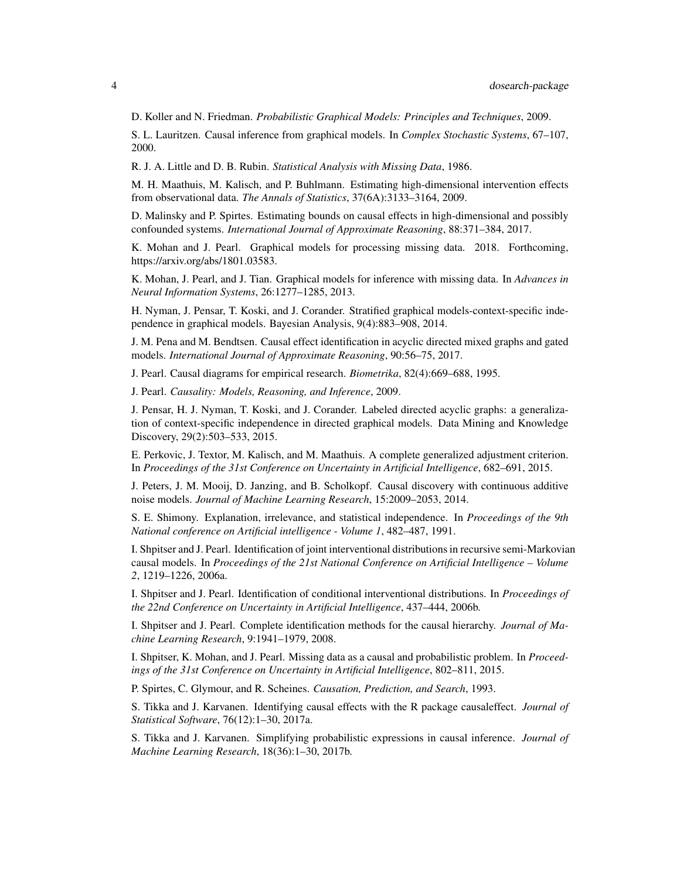D. Koller and N. Friedman. *Probabilistic Graphical Models: Principles and Techniques*, 2009.

S. L. Lauritzen. Causal inference from graphical models. In *Complex Stochastic Systems*, 67–107, 2000.

R. J. A. Little and D. B. Rubin. *Statistical Analysis with Missing Data*, 1986.

M. H. Maathuis, M. Kalisch, and P. Buhlmann. Estimating high-dimensional intervention effects from observational data. *The Annals of Statistics*, 37(6A):3133–3164, 2009.

D. Malinsky and P. Spirtes. Estimating bounds on causal effects in high-dimensional and possibly confounded systems. *International Journal of Approximate Reasoning*, 88:371–384, 2017.

K. Mohan and J. Pearl. Graphical models for processing missing data. 2018. Forthcoming, https://arxiv.org/abs/1801.03583.

K. Mohan, J. Pearl, and J. Tian. Graphical models for inference with missing data. In *Advances in Neural Information Systems*, 26:1277–1285, 2013.

H. Nyman, J. Pensar, T. Koski, and J. Corander. Stratified graphical models-context-specific independence in graphical models. Bayesian Analysis, 9(4):883–908, 2014.

J. M. Pena and M. Bendtsen. Causal effect identification in acyclic directed mixed graphs and gated models. *International Journal of Approximate Reasoning*, 90:56–75, 2017.

J. Pearl. Causal diagrams for empirical research. *Biometrika*, 82(4):669–688, 1995.

J. Pearl. *Causality: Models, Reasoning, and Inference*, 2009.

J. Pensar, H. J. Nyman, T. Koski, and J. Corander. Labeled directed acyclic graphs: a generalization of context-specific independence in directed graphical models. Data Mining and Knowledge Discovery, 29(2):503–533, 2015.

E. Perkovic, J. Textor, M. Kalisch, and M. Maathuis. A complete generalized adjustment criterion. In *Proceedings of the 31st Conference on Uncertainty in Artificial Intelligence*, 682–691, 2015.

J. Peters, J. M. Mooij, D. Janzing, and B. Scholkopf. Causal discovery with continuous additive noise models. *Journal of Machine Learning Research*, 15:2009–2053, 2014.

S. E. Shimony. Explanation, irrelevance, and statistical independence. In *Proceedings of the 9th National conference on Artificial intelligence - Volume 1*, 482–487, 1991.

I. Shpitser and J. Pearl. Identification of joint interventional distributions in recursive semi-Markovian causal models. In *Proceedings of the 21st National Conference on Artificial Intelligence – Volume 2*, 1219–1226, 2006a.

I. Shpitser and J. Pearl. Identification of conditional interventional distributions. In *Proceedings of the 22nd Conference on Uncertainty in Artificial Intelligence*, 437–444, 2006b.

I. Shpitser and J. Pearl. Complete identification methods for the causal hierarchy. *Journal of Machine Learning Research*, 9:1941–1979, 2008.

I. Shpitser, K. Mohan, and J. Pearl. Missing data as a causal and probabilistic problem. In *Proceedings of the 31st Conference on Uncertainty in Artificial Intelligence*, 802–811, 2015.

P. Spirtes, C. Glymour, and R. Scheines. *Causation, Prediction, and Search*, 1993.

S. Tikka and J. Karvanen. Identifying causal effects with the R package causaleffect. *Journal of Statistical Software*, 76(12):1–30, 2017a.

S. Tikka and J. Karvanen. Simplifying probabilistic expressions in causal inference. *Journal of Machine Learning Research*, 18(36):1–30, 2017b.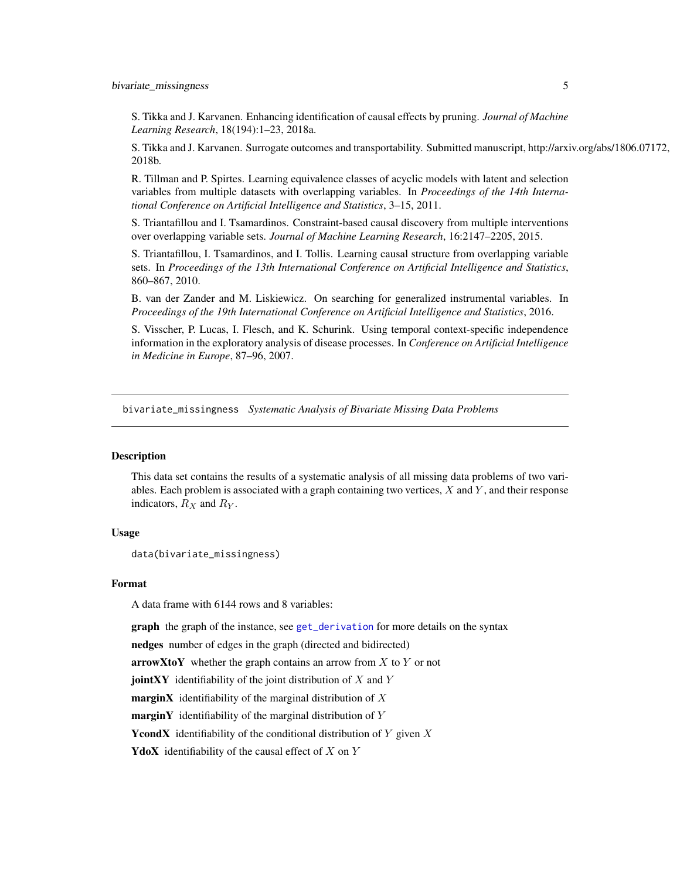<span id="page-4-0"></span>S. Tikka and J. Karvanen. Enhancing identification of causal effects by pruning. *Journal of Machine Learning Research*, 18(194):1–23, 2018a.

S. Tikka and J. Karvanen. Surrogate outcomes and transportability. Submitted manuscript, http://arxiv.org/abs/1806.07172, 2018b.

R. Tillman and P. Spirtes. Learning equivalence classes of acyclic models with latent and selection variables from multiple datasets with overlapping variables. In *Proceedings of the 14th International Conference on Artificial Intelligence and Statistics*, 3–15, 2011.

S. Triantafillou and I. Tsamardinos. Constraint-based causal discovery from multiple interventions over overlapping variable sets. *Journal of Machine Learning Research*, 16:2147–2205, 2015.

S. Triantafillou, I. Tsamardinos, and I. Tollis. Learning causal structure from overlapping variable sets. In *Proceedings of the 13th International Conference on Artificial Intelligence and Statistics*, 860–867, 2010.

B. van der Zander and M. Liskiewicz. On searching for generalized instrumental variables. In *Proceedings of the 19th International Conference on Artificial Intelligence and Statistics*, 2016.

S. Visscher, P. Lucas, I. Flesch, and K. Schurink. Using temporal context-specific independence information in the exploratory analysis of disease processes. In *Conference on Artificial Intelligence in Medicine in Europe*, 87–96, 2007.

bivariate\_missingness *Systematic Analysis of Bivariate Missing Data Problems*

# **Description**

This data set contains the results of a systematic analysis of all missing data problems of two variables. Each problem is associated with a graph containing two vertices,  $X$  and  $Y$ , and their response indicators,  $R_X$  and  $R_Y$ .

#### Usage

```
data(bivariate_missingness)
```
#### Format

A data frame with 6144 rows and 8 variables:

graph the graph of the instance, see [get\\_derivation](#page-5-1) for more details on the syntax

nedges number of edges in the graph (directed and bidirected)

**arrowXtoY** whether the graph contains an arrow from  $X$  to  $Y$  or not

**jointXY** identifiability of the joint distribution of  $X$  and  $Y$ 

**marginX** identifiability of the marginal distribution of  $X$ 

**marginY** identifiability of the marginal distribution of  $Y$ 

**YcondX** identifiability of the conditional distribution of  $Y$  given  $X$ 

**YdoX** identifiability of the causal effect of  $X$  on  $Y$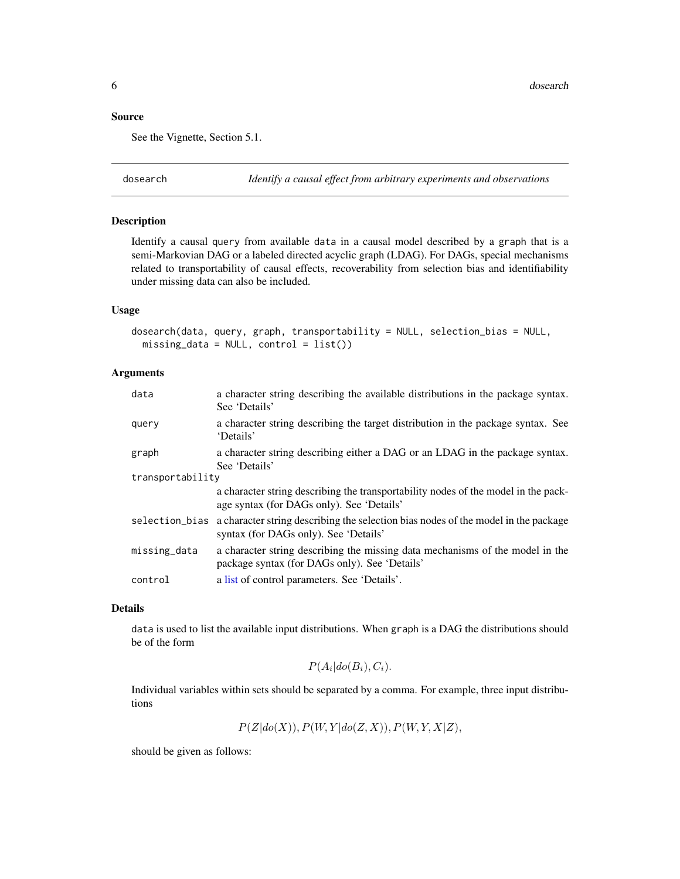### <span id="page-5-0"></span>Source

See the Vignette, Section 5.1.

dosearch *Identify a causal effect from arbitrary experiments and observations*

# <span id="page-5-1"></span>Description

Identify a causal query from available data in a causal model described by a graph that is a semi-Markovian DAG or a labeled directed acyclic graph (LDAG). For DAGs, special mechanisms related to transportability of causal effects, recoverability from selection bias and identifiability under missing data can also be included.

#### Usage

dosearch(data, query, graph, transportability = NULL, selection\_bias = NULL, missing\_data = NULL, control = list())

# Arguments

| data             | a character string describing the available distributions in the package syntax.<br>See 'Details'                                          |  |  |
|------------------|--------------------------------------------------------------------------------------------------------------------------------------------|--|--|
| query            | a character string describing the target distribution in the package syntax. See<br>'Details'                                              |  |  |
| graph            | a character string describing either a DAG or an LDAG in the package syntax.<br>See 'Details'                                              |  |  |
| transportability |                                                                                                                                            |  |  |
|                  | a character string describing the transportability nodes of the model in the pack-<br>age syntax (for DAGs only). See 'Details'            |  |  |
|                  | selection bias a character string describing the selection bias nodes of the model in the package<br>syntax (for DAGs only). See 'Details' |  |  |
| missing_data     | a character string describing the missing data mechanisms of the model in the<br>package syntax (for DAGs only). See 'Details'             |  |  |
| control          | a list of control parameters. See 'Details'.                                                                                               |  |  |

# Details

data is used to list the available input distributions. When graph is a DAG the distributions should be of the form

$$
P(A_i|do(B_i), C_i).
$$

Individual variables within sets should be separated by a comma. For example, three input distributions

 $P(Z|do(X)), P(W, Y|do(Z, X)), P(W, Y, X|Z),$ 

should be given as follows: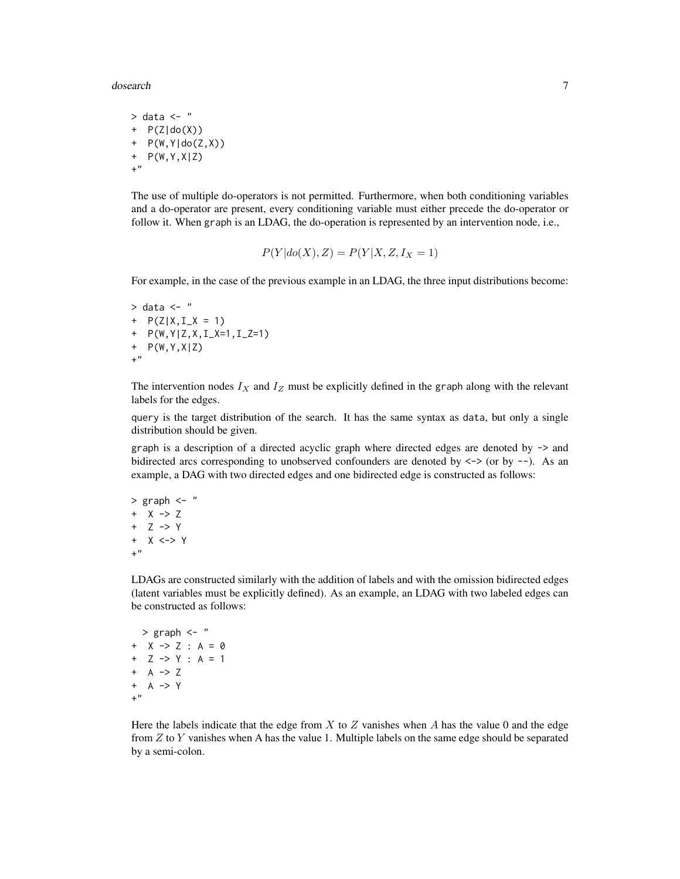dosearch 7 and 2008 and 2008 and 2008 and 2008 and 2008 and 2008 and 2008 and 2008 and 2008 and 2008 and 2008 and 2008 and 2008 and 2008 and 2008 and 2008 and 2008 and 2008 and 2008 and 2008 and 2008 and 2008 and 2008 and

 $>$  data  $<-$  "  $+$  P(Z|do(X)) + P(W,Y|do(Z,X)) + P(W,Y,X|Z) +"

The use of multiple do-operators is not permitted. Furthermore, when both conditioning variables and a do-operator are present, every conditioning variable must either precede the do-operator or follow it. When graph is an LDAG, the do-operation is represented by an intervention node, i.e.,

$$
P(Y|do(X), Z) = P(Y|X, Z, I_X = 1)
$$

For example, in the case of the previous example in an LDAG, the three input distributions become:

```
> data <- "
+ P(Z|X, I_X = 1)+ P(W,Y|Z,X,I_X=1,I_Z=1)
+ P(W,Y,X|Z)
+"
```
The intervention nodes  $I_X$  and  $I_Z$  must be explicitly defined in the graph along with the relevant labels for the edges.

query is the target distribution of the search. It has the same syntax as data, but only a single distribution should be given.

graph is a description of a directed acyclic graph where directed edges are denoted by -> and bidirected arcs corresponding to unobserved confounders are denoted by  $\langle - \rangle$  (or by  $\sim$ ). As an example, a DAG with two directed edges and one bidirected edge is constructed as follows:

```
> graph <- "
+ X -> Z
+ Z -> Y
+ X <-> Y
+"
```
LDAGs are constructed similarly with the addition of labels and with the omission bidirected edges (latent variables must be explicitly defined). As an example, an LDAG with two labeled edges can be constructed as follows:

```
> graph <- "
+ X -> Z : A = 0
+ Z -> Y : A = 1
+ A \rightarrow Z
+ A -> Y
+"
```
Here the labels indicate that the edge from  $X$  to  $Z$  vanishes when  $A$  has the value 0 and the edge from  $Z$  to  $Y$  vanishes when A has the value 1. Multiple labels on the same edge should be separated by a semi-colon.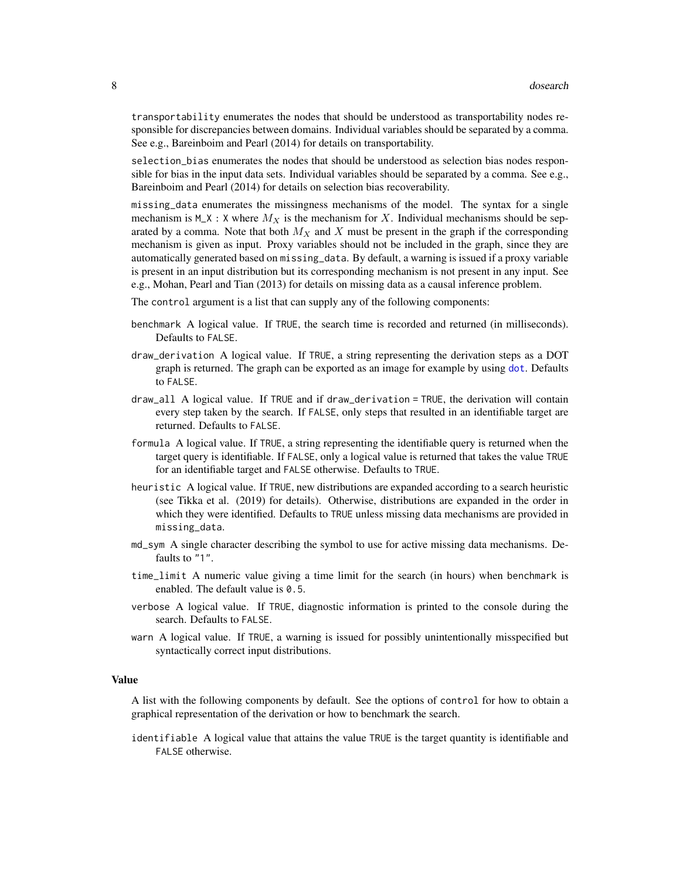<span id="page-7-0"></span>transportability enumerates the nodes that should be understood as transportability nodes responsible for discrepancies between domains. Individual variables should be separated by a comma. See e.g., Bareinboim and Pearl (2014) for details on transportability.

selection\_bias enumerates the nodes that should be understood as selection bias nodes responsible for bias in the input data sets. Individual variables should be separated by a comma. See e.g., Bareinboim and Pearl (2014) for details on selection bias recoverability.

missing\_data enumerates the missingness mechanisms of the model. The syntax for a single mechanism is  $M_X$ : X where  $M_X$  is the mechanism for X. Individual mechanisms should be separated by a comma. Note that both  $M_X$  and X must be present in the graph if the corresponding mechanism is given as input. Proxy variables should not be included in the graph, since they are automatically generated based on missing\_data. By default, a warning is issued if a proxy variable is present in an input distribution but its corresponding mechanism is not present in any input. See e.g., Mohan, Pearl and Tian (2013) for details on missing data as a causal inference problem.

The control argument is a list that can supply any of the following components:

- benchmark A logical value. If TRUE, the search time is recorded and returned (in milliseconds). Defaults to FALSE.
- draw\_derivation A logical value. If TRUE, a string representing the derivation steps as a DOT graph is returned. The graph can be exported as an image for example by using [dot](#page-0-0). Defaults to FALSE.
- draw\_all A logical value. If TRUE and if draw\_derivation = TRUE, the derivation will contain every step taken by the search. If FALSE, only steps that resulted in an identifiable target are returned. Defaults to FALSE.
- formula A logical value. If TRUE, a string representing the identifiable query is returned when the target query is identifiable. If FALSE, only a logical value is returned that takes the value TRUE for an identifiable target and FALSE otherwise. Defaults to TRUE.
- heuristic A logical value. If TRUE, new distributions are expanded according to a search heuristic (see Tikka et al. (2019) for details). Otherwise, distributions are expanded in the order in which they were identified. Defaults to TRUE unless missing data mechanisms are provided in missing\_data.
- md\_sym A single character describing the symbol to use for active missing data mechanisms. Defaults to "1".
- time\_limit A numeric value giving a time limit for the search (in hours) when benchmark is enabled. The default value is 0.5.
- verbose A logical value. If TRUE, diagnostic information is printed to the console during the search. Defaults to FALSE.
- warn A logical value. If TRUE, a warning is issued for possibly unintentionally misspecified but syntactically correct input distributions.

#### Value

A list with the following components by default. See the options of control for how to obtain a graphical representation of the derivation or how to benchmark the search.

identifiable A logical value that attains the value TRUE is the target quantity is identifiable and FALSE otherwise.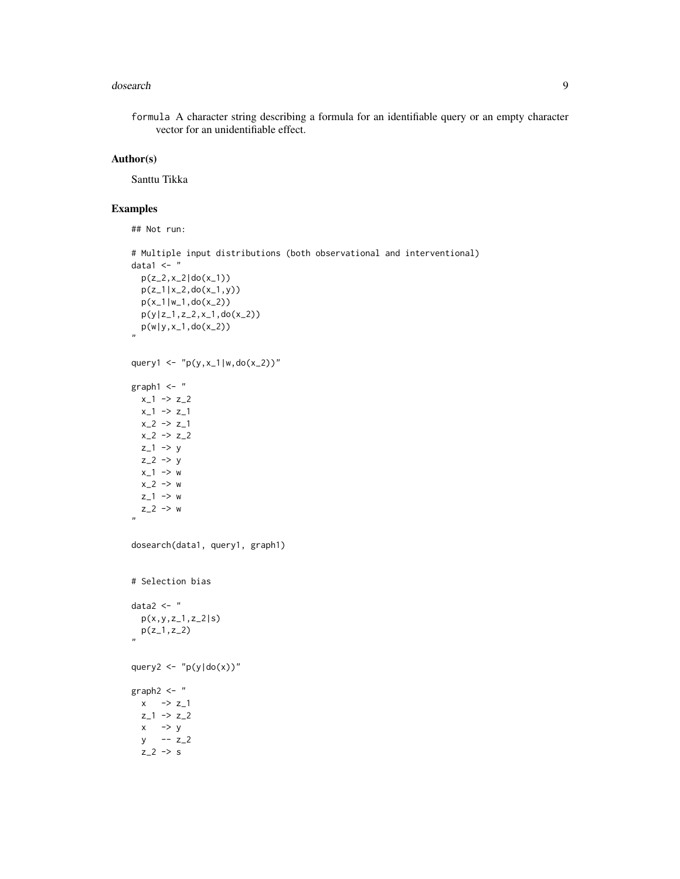#### dosearch 9

formula A character string describing a formula for an identifiable query or an empty character vector for an unidentifiable effect.

# Author(s)

Santtu Tikka

# Examples

## Not run:

```
# Multiple input distributions (both observational and interventional)
data1 \leftarrow "
  p(z_2, x_2|do(x_1))p(z_1|x_2,do(x_1,y))p(x_1|w_1,do(x_2))
  p(y|z_1,z_2,x_1,do(x_2))
   p(w|y,x_1,do(x_2))
"
query1 <- "p(y,x_1|w,do(x_2))"
graph1 < -"
 x_1 \rightarrow z_2x_1 \rightarrow z_1x_2 \rightarrow z_1x_2 \rightarrow z_2z_1 \rightarrow yz_2 \rightarrow yx_1 \rightarrow wx_2 > wz_1 \rightarrow wz_{2} -> w
"
dosearch(data1, query1, graph1)
# Selection bias
data2 \leftarrow "
  p(x,y,z_1,z_2|s)p(z_1, z_2)"
query2 <- "p(y|do(x))"graph2 \leq - "
  x \rightarrow z_1z_{-1} -> z_{-2}x \rightarrow yy -- z_2
  z_2 \rightarrow s
```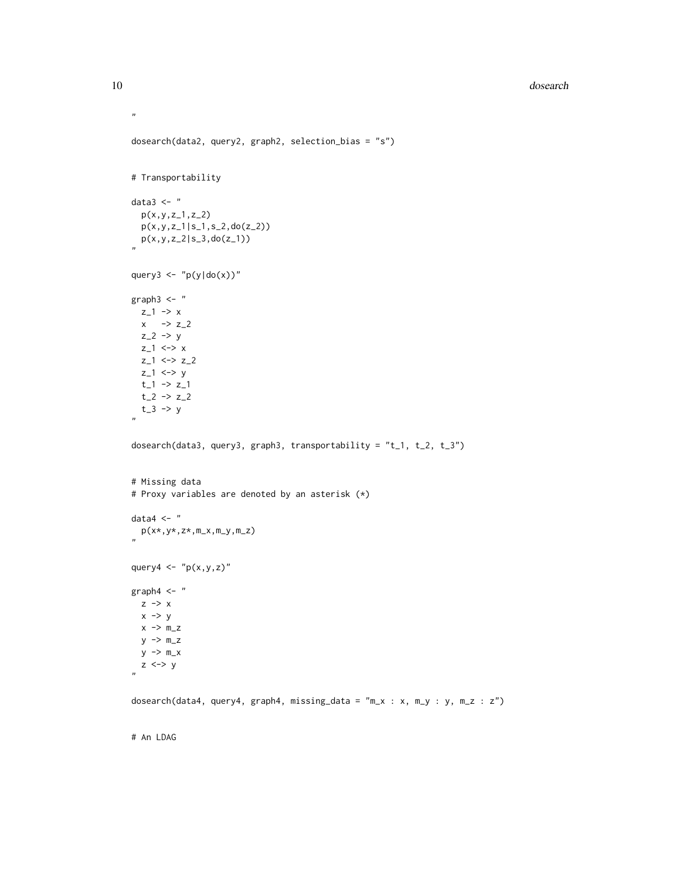#### 10 dosearch and the contract of the contract of the contract of the contract of the contract of the contract of the contract of the contract of the contract of the contract of the contract of the contract of the contract o

```
dosearch(data2, query2, graph2, selection_bias = "s")
# Transportability
data3 \leftarrow "
  p(x,y,z_1,z_2)
  p(x,y,z_1|s_1,s_2,do(z_2))p(x,y,z_2|s_3,do(z_1))
"
query3 <- "p(y|do(x))"graph3 < - "
 z_1 \rightarrow xx \rightarrow z_{2}z_2 \rightarrow yz_1 \leftrightarrow z_2z_{-1} <-> z_{-2}z_1 <-> y
  t_{-1} \rightarrow z_{-1}t_{-2} \rightarrow z_{-2}t_3 \rightarrow y"
dosearch(data3, query3, graph3, transportability = "t_1, t_2, t_3")
# Missing data
# Proxy variables are denoted by an asterisk (*)
data4 \leftarrow "
   p(x*,y*,z*,m_x,m_y,m_z)
"
query4 \leq "p(x,y,z)"
graph4 < -"
 z \rightarrow xx \rightarrow yx \rightarrow m_zy -> m_z
  y \rightarrow m_xz <-> y
"
dosearch(data4, query4, graph4, missing_data = "m_x : x, m_y : y, m_z : z")
```
# An LDAG

 $\mathbf{n}$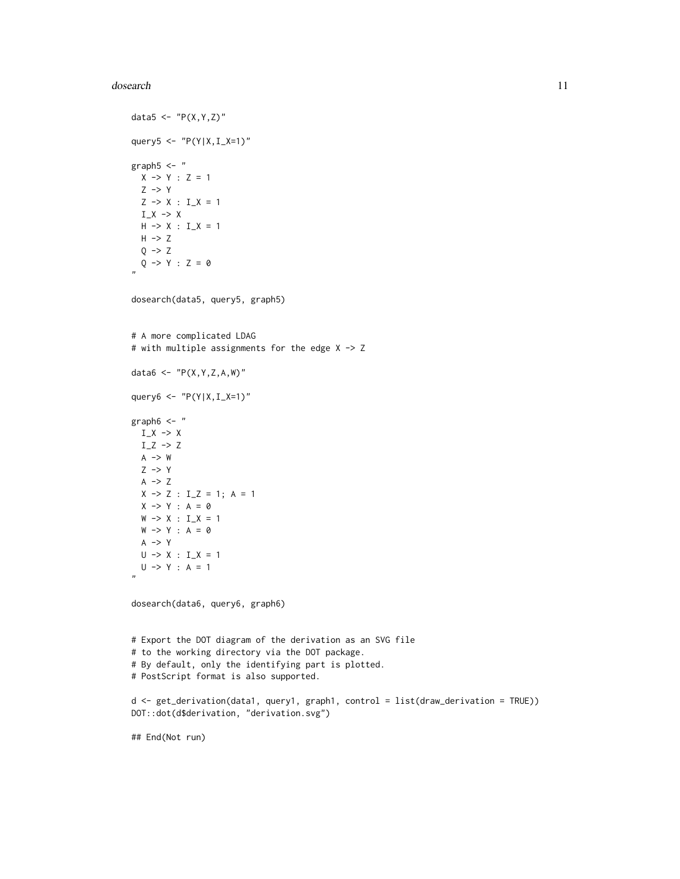#### dosearch the contract of the contract of the contract of the contract of the contract of the contract of the contract of the contract of the contract of the contract of the contract of the contract of the contract of the c

```
data5 <- "P(X,Y,Z)"query5 <- "P(Y|X,I_X=1)"
graph5 < -"
 X \rightarrow Y : Z = 1Z \rightarrow YZ \rightarrow X : I_X = 1I_X \rightarrow XH \rightarrow X : I_X = 1H \rightarrow ZQ \rightarrow ZQ \rightarrow Y : Z = 0"
dosearch(data5, query5, graph5)
# A more complicated LDAG
# with multiple assignments for the edge X -> Z
data6 <- "P(X,Y,Z,A,W)"query6 <- "P(Y|X,I_X=1)"
graph6 < -"
  I_X \rightarrow XI_Z \rightarrow ZA \rightarrow WZ \rightarrow YA \rightarrow ZX \rightarrow Z : I_Z = 1; A = 1X \rightarrow Y : A = \emptysetW \rightarrow X : I_X = 1W \rightarrow Y : A = \emptysetA \rightarrow YU \rightarrow X : I_X = 1U \rightarrow Y : A = 1"
dosearch(data6, query6, graph6)
# Export the DOT diagram of the derivation as an SVG file
# to the working directory via the DOT package.
# By default, only the identifying part is plotted.
# PostScript format is also supported.
d <- get_derivation(data1, query1, graph1, control = list(draw_derivation = TRUE))
DOT::dot(d$derivation, "derivation.svg")
## End(Not run)
```